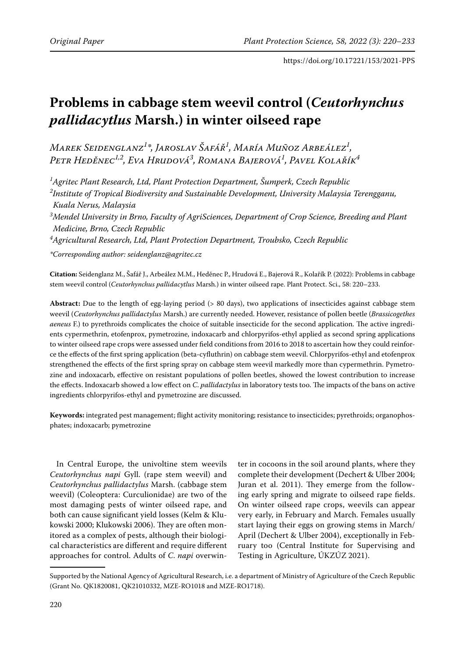# **Problems in cabbage stem weevil control (***Ceutorhynchus pallidacytlus* **Marsh.) in winter oilseed rape**

*Marek Seidenglanz1 \*, Jaroslav Šafář1 , María Muñoz Arbeález1 , Petr Heděnec1,2, Eva Hrudová3 , Romana Bajerová1 , Pavel Kolařík4*

*1 Agritec Plant Research, Ltd, Plant Protection Department, Šumperk, Czech Republic 2 Institute of Tropical Biodiversity and Sustainable Development, University Malaysia Terengganu, Kuala Nerus, Malaysia*

*3 Mendel University in Brno, Faculty of AgriSciences, Department of Crop Science, Breeding and Plant Medicine, Brno, Czech Republic*

*4 Agricultural Research, Ltd, Plant Protection Department, Troubsko, Czech Republic*

*\*Corresponding author: seidenglanz@agritec.cz*

**Citation:** Seidenglanz M., Šafář J., Arbeález M.M., Heděnec P., Hrudová E., Bajerová R., Kolařík P. (2022): Problems in cabbage stem weevil control (*Ceutorhynchus pallidacytlus* Marsh.) in winter oilseed rape. Plant Protect. Sci., 58: 220–233.

**Abstract:** Due to the length of egg-laying period (> 80 days), two applications of insecticides against cabbage stem weevil (*Ceutorhynchus pallidactylus* Marsh.) are currently needed. However, resistance of pollen beetle (*Brassicogethes aeneus* F.) to pyrethroids complicates the choice of suitable insecticide for the second application. The active ingredients cypermethrin, etofenprox, pymetrozine, indoxacarb and chlorpyrifos-ethyl applied as second spring applications to winter oilseed rape crops were assessed under field conditions from 2016 to 2018 to ascertain how they could reinforce the effects of the first spring application (beta-cyfluthrin) on cabbage stem weevil. Chlorpyrifos-ethyl and etofenprox strengthened the effects of the first spring spray on cabbage stem weevil markedly more than cypermethrin. Pymetrozine and indoxacarb, effective on resistant populations of pollen beetles, showed the lowest contribution to increase the effects. Indoxacarb showed a low effect on *C*. *pallidactylus* in laboratory tests too. The impacts of the bans on active ingredients chlorpyrifos-ethyl and pymetrozine are discussed.

**Keywords:** integrated pest management; flight activity monitoring; resistance to insecticides; pyrethroids; organophosphates; indoxacarb; pymetrozine

In Central Europe, the univoltine stem weevils *Ceutorhynchus napi* Gyll. (rape stem weevil) and *Ceutorhynchus pallidactylus* Marsh. (cabbage stem weevil) (Coleoptera: Curculionidae) are two of the most damaging pests of winter oilseed rape, and both can cause significant yield losses (Kelm & Klukowski 2000; Klukowski 2006). They are often monitored as a complex of pests, although their biological characteristics are different and require different approaches for control. Adults of *C*. *napi* overwinter in cocoons in the soil around plants, where they complete their development (Dechert & Ulber 2004; Juran et al. 2011). They emerge from the following early spring and migrate to oilseed rape fields. On winter oilseed rape crops, weevils can appear very early, in February and March. Females usually start laying their eggs on growing stems in March/ April (Dechert & Ulber 2004), exceptionally in February too (Central Institute for Supervising and Testing in Agriculture, ÚKZÚZ 2021).

Supported by the National Agency of Agricultural Research, i.e. a department of Ministry of Agriculture of the Czech Republic (Grant No. QK1820081, QK21010332, MZE-RO1018 and MZE-RO1718).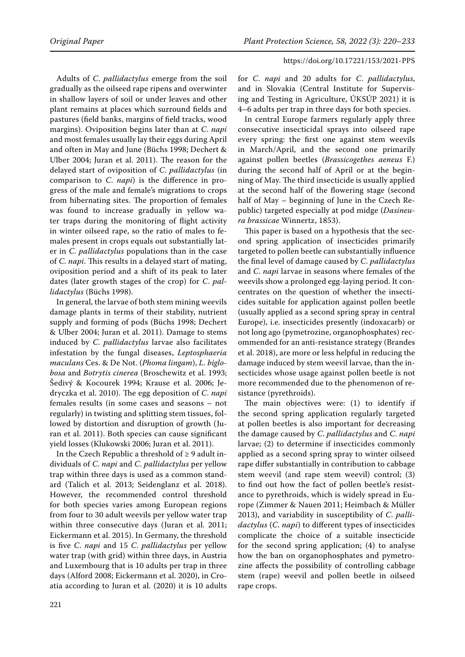Adults of *C*. *pallidactylus* emerge from the soil gradually as the oilseed rape ripens and overwinter in shallow layers of soil or under leaves and other plant remains at places which surround fields and pastures (field banks, margins of field tracks, wood margins). Oviposition begins later than at *C*. *napi* and most females usually lay their eggs during April and often in May and June (Büchs 1998; Dechert & Ulber 2004; Juran et al. 2011). The reason for the delayed start of oviposition of *C*. *pallidactylus* (in comparison to *C*. *napi*) is the difference in progress of the male and female's migrations to crops from hibernating sites. The proportion of females was found to increase gradually in yellow water traps during the monitoring of flight activity in winter oilseed rape, so the ratio of males to females present in crops equals out substantially later in *C*. *pallidactylus* populations than in the case of *C*. *napi*. This results in a delayed start of mating, oviposition period and a shift of its peak to later dates (later growth stages of the crop) for *C*. *pallidactylus* (Büchs 1998).

In general, the larvae of both stem mining weevils damage plants in terms of their stability, nutrient supply and forming of pods (Büchs 1998; Dechert & Ulber 2004; Juran et al. 2011). Damage to stems induced by *C*. *pallidactylus* larvae also facilitates infestation by the fungal diseases, *Leptosphaeria maculans* Ces. & De Not. (*Phoma lingam*), *L. biglobosa* and *Botrytis cinerea* (Broschewitz et al. 1993; Šedivý & Kocourek 1994; Krause et al. 2006; Jedryczka et al. 2010). The egg deposition of *C*. *napi* females results (in some cases and seasons – not regularly) in twisting and splitting stem tissues, followed by distortion and disruption of growth (Juran et al. 2011). Both species can cause significant yield losses (Klukowski 2006; Juran et al. 2011).

In the Czech Republic a threshold of  $\geq$  9 adult individuals of *C*. *napi* and *C*. *pallidactylus* per yellow trap within three days is used as a common standard (Talich et al. 2013; Seidenglanz et al. 2018). However, the recommended control threshold for both species varies among European regions from four to 30 adult weevils per yellow water trap within three consecutive days (Juran et al. 2011; Eickermann et al. 2015). In Germany, the threshold is five *C*. *napi* and 15 *C*. *pallidactylus* per yellow water trap (with grid) within three days, in Austria and Luxembourg that is 10 adults per trap in three days (Alford 2008; Eickermann et al. 2020), in Croatia according to Juran et al. (2020) it is 10 adults

for *C*. *napi* and 20 adults for *C*. *pallidactylus*, and in Slovakia (Central Institute for Supervising and Testing in Agriculture, ÚKSÚP 2021) it is 4–6 adults per trap in three days for both species.

In central Europe farmers regularly apply three consecutive insecticidal sprays into oilseed rape every spring: the first one against stem weevils in March/April, and the second one primarily against pollen beetles (*Brassicogethes aeneus* F.) during the second half of April or at the beginning of May. The third insecticide is usually applied at the second half of the flowering stage (second half of May – beginning of June in the Czech Republic) targeted especially at pod midge (*Dasineura brassicae* Winnertz, 1853).

This paper is based on a hypothesis that the second spring application of insecticides primarily targeted to pollen beetle can substantially influence the final level of damage caused by *C*. *pallidactylus* and *C*. *napi* larvae in seasons where females of the weevils show a prolonged egg-laying period. It concentrates on the question of whether the insecticides suitable for application against pollen beetle (usually applied as a second spring spray in central Europe), i.e. insecticides presently (indoxacarb) or not long ago (pymetrozine, organophosphates) recommended for an anti-resistance strategy (Brandes et al. 2018), are more or less helpful in reducing the damage induced by stem weevil larvae, than the insecticides whose usage against pollen beetle is not more recommended due to the phenomenon of resistance (pyrethroids).

The main objectives were: (1) to identify if the second spring application regularly targeted at pollen beetles is also important for decreasing the damage caused by *C*. *pallidactylus* and *C*. *napi* larvae; (2) to determine if insecticides commonly applied as a second spring spray to winter oilseed rape differ substantially in contribution to cabbage stem weevil (and rape stem weevil) control; (3) to find out how the fact of pollen beetle's resistance to pyrethroids, which is widely spread in Europe (Zimmer & Nauen 2011; Heimbach & Müller 2013), and variability in susceptibility of *C*. *pallidactylus* (*C*. *napi*) to different types of insecticides complicate the choice of a suitable insecticide for the second spring application; (4) to analyse how the ban on organophosphates and pymetrozine affects the possibility of controlling cabbage stem (rape) weevil and pollen beetle in oilseed rape crops.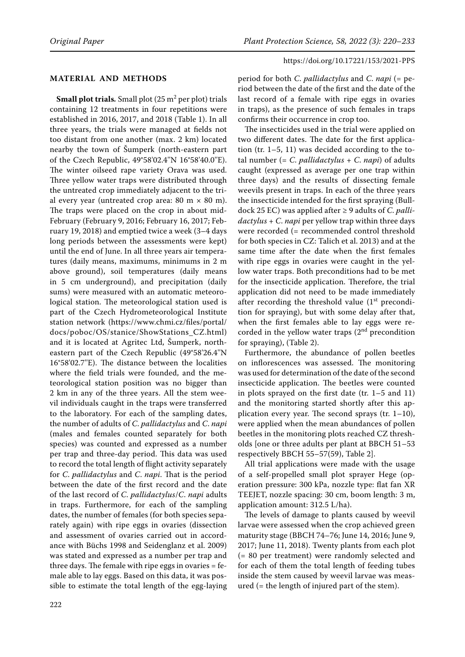## **Material and Methods**

**Small plot trials.** Small plot (25 m<sup>2</sup> per plot) trials containing 12 treatments in four repetitions were established in 2016, 2017, and 2018 (Table 1). In all three years, the trials were managed at fields not too distant from one another (max. 2 km) located nearby the town of Šumperk (north-eastern part of the Czech Republic, 49°58'02.4''N 16°58'40.0''E). The winter oilseed rape variety Orava was used. Three yellow water traps were distributed through the untreated crop immediately adjacent to the trial every year (untreated crop area:  $80 \text{ m} \times 80 \text{ m}$ ). The traps were placed on the crop in about mid-February (February 9, 2016; February 16, 2017; February 19, 2018) and emptied twice a week (3–4 days long periods between the assessments were kept) until the end of June. In all three years air temperatures (daily means, maximums, minimums in 2 m above ground), soil temperatures (daily means in 5 cm underground), and precipitation (daily sums) were measured with an automatic meteorological station. The meteorological station used is part of the Czech Hydrometeorological Institute station network (https://www.chmi.cz/files/portal/ docs/poboc/OS/stanice/ShowStations\_CZ.html) and it is located at Agritec Ltd, Šumperk, northeastern part of the Czech Republic (49°58'26.4''N 16°58'02.7''E). The distance between the localities where the field trials were founded, and the meteorological station position was no bigger than 2 km in any of the three years. All the stem weevil individuals caught in the traps were transferred to the laboratory. For each of the sampling dates, the number of adults of *C*. *pallidactylus* and *C*. *napi* (males and females counted separately for both species) was counted and expressed as a number per trap and three-day period. This data was used to record the total length of flight activity separately for *C*. *pallidactylus* and *C*. *napi*. That is the period between the date of the first record and the date of the last record of *C*. *pallidactylus*/*C*. *napi* adults in traps. Furthermore, for each of the sampling dates, the number of females (for both species separately again) with ripe eggs in ovaries (dissection and assessment of ovaries carried out in accordance with Büchs 1998 and Seidenglanz et al. 2009) was stated and expressed as a number per trap and three days. The female with ripe eggs in ovaries  $=$  female able to lay eggs. Based on this data, it was possible to estimate the total length of the egg-laying

period for both *C*. *pallidactylus* and *C*. *napi* (= period between the date of the first and the date of the last record of a female with ripe eggs in ovaries in traps), as the presence of such females in traps confirms their occurrence in crop too.

The insecticides used in the trial were applied on two different dates. The date for the first application (tr. 1–5, 11) was decided according to the total number (= *C*. *pallidactylus* + *C*. *napi*) of adults caught (expressed as average per one trap within three days) and the results of dissecting female weevils present in traps. In each of the three years the insecticide intended for the first spraying (Bulldock 25 EC) was applied after ≥ 9 adults of *C*. *pallidactylus* + *C*. *napi* per yellow trap within three days were recorded (= recommended control threshold for both species in CZ: Talich et al. 2013) and at the same time after the date when the first females with ripe eggs in ovaries were caught in the yellow water traps. Both preconditions had to be met for the insecticide application. Therefore, the trial application did not need to be made immediately after recording the threshold value  $(1<sup>st</sup>$  precondition for spraying), but with some delay after that, when the first females able to lay eggs were recorded in the yellow water traps  $(2<sup>nd</sup>$  precondition for spraying), (Table 2).

Furthermore, the abundance of pollen beetles on inflorescences was assessed. The monitoring was used for determination of the date of the second insecticide application. The beetles were counted in plots sprayed on the first date (tr. 1–5 and 11) and the monitoring started shortly after this application every year. The second sprays (tr. 1–10), were applied when the mean abundances of pollen beetles in the monitoring plots reached CZ thresholds [one or three adults per plant at BBCH 51–53 respectively BBCH 55–57(59), Table 2].

All trial applications were made with the usage of a self-propelled small plot sprayer Hege (operation pressure: 300 kPa, nozzle type: flat fan XR TEEJET, nozzle spacing: 30 cm, boom length: 3 m, application amount: 312.5 L/ha).

The levels of damage to plants caused by weevil larvae were assessed when the crop achieved green maturity stage (BBCH 74–76; June 14, 2016; June 9, 2017; June 11, 2018). Twenty plants from each plot (= 80 per treatment) were randomly selected and for each of them the total length of feeding tubes inside the stem caused by weevil larvae was measured (= the length of injured part of the stem).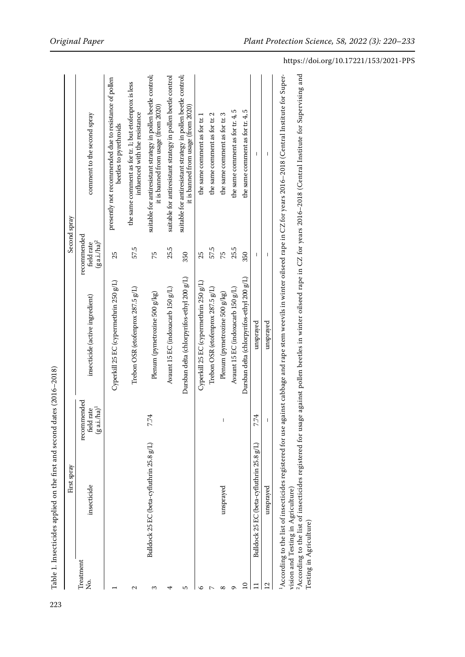| it is banned from usage (from 2020)<br>it is banned from usage (from 2020)<br>the same comment as for tr. 4, 5<br>the same comment as for tr. 4, 5<br>influenced with the resistance<br>comment to the second spray<br>the same comment as for tr. 2<br>the same comment as for tr. 3<br>the same comment as for tr. 1<br>beetles to pyrethroids<br>I<br>ı<br>recommended<br>$(g \text{ a.i.}/\text{ha})^2$<br>field rate<br>57.5<br>25.5<br>57.5<br>25.5<br>350<br>25<br>350<br>25<br>75<br>75<br>Ī<br>I<br>Dursban delta (chlorpyrifos-ethyl 200 g/L)<br>Dursban delta (chlorpyrifos-ethyl 200 g/L)<br>Cyperkill 25 EC (cypermethrin 250 g/L)<br>Cyperkill 25 EC (cypermethrin 250 g/L)<br>Trebon OSR (etofenprox 287.5 g/L)<br>Avaunt 15 EC (indoxacarb 150 g/L)<br>Trebon OSR (etofenprox $287.5$ g/L)<br>Avaunt 15 EC (indoxacarb 150 g/L)<br>Plenum (pymetrozine 500 g/kg)<br>Plenum (pymetrozine 500 g/kg)<br>insecticide (active ingredient)<br>unsprayed<br>recommended<br>$(\mathbf{g}\, \text{a.i./ha})^1$<br>field rate<br>7.74<br>7.74<br>Bulldock 25 EC (beta-cyfluthrin 25.8 g/L)<br>Bulldock 25 EC (beta-cyfluthrin 25.8 g/L)<br>insecticide<br>unsprayed<br>Treatment<br>Ş.<br>$\overline{12}$<br>$\overline{a}$<br>2<br>3<br>5<br>∞<br>4<br>ľ<br>ᡋ<br>∘ | First spray |           | Second spray                                                  |
|---------------------------------------------------------------------------------------------------------------------------------------------------------------------------------------------------------------------------------------------------------------------------------------------------------------------------------------------------------------------------------------------------------------------------------------------------------------------------------------------------------------------------------------------------------------------------------------------------------------------------------------------------------------------------------------------------------------------------------------------------------------------------------------------------------------------------------------------------------------------------------------------------------------------------------------------------------------------------------------------------------------------------------------------------------------------------------------------------------------------------------------------------------------------------------------------------------------------------------------------------------------------------|-------------|-----------|---------------------------------------------------------------|
|                                                                                                                                                                                                                                                                                                                                                                                                                                                                                                                                                                                                                                                                                                                                                                                                                                                                                                                                                                                                                                                                                                                                                                                                                                                                           |             |           |                                                               |
|                                                                                                                                                                                                                                                                                                                                                                                                                                                                                                                                                                                                                                                                                                                                                                                                                                                                                                                                                                                                                                                                                                                                                                                                                                                                           |             |           | presently not recommended due to resistance of pollen         |
|                                                                                                                                                                                                                                                                                                                                                                                                                                                                                                                                                                                                                                                                                                                                                                                                                                                                                                                                                                                                                                                                                                                                                                                                                                                                           |             |           | the same comment as for tr. 1; but etofenprox is less         |
|                                                                                                                                                                                                                                                                                                                                                                                                                                                                                                                                                                                                                                                                                                                                                                                                                                                                                                                                                                                                                                                                                                                                                                                                                                                                           |             |           | suitable for antiresistant strategy in pollen beetle control; |
|                                                                                                                                                                                                                                                                                                                                                                                                                                                                                                                                                                                                                                                                                                                                                                                                                                                                                                                                                                                                                                                                                                                                                                                                                                                                           |             |           | suitable for antiresistant strategy in pollen beetle control  |
|                                                                                                                                                                                                                                                                                                                                                                                                                                                                                                                                                                                                                                                                                                                                                                                                                                                                                                                                                                                                                                                                                                                                                                                                                                                                           |             |           | suitable for antiresistant strategy in pollen beetle control; |
|                                                                                                                                                                                                                                                                                                                                                                                                                                                                                                                                                                                                                                                                                                                                                                                                                                                                                                                                                                                                                                                                                                                                                                                                                                                                           |             |           |                                                               |
|                                                                                                                                                                                                                                                                                                                                                                                                                                                                                                                                                                                                                                                                                                                                                                                                                                                                                                                                                                                                                                                                                                                                                                                                                                                                           |             |           |                                                               |
|                                                                                                                                                                                                                                                                                                                                                                                                                                                                                                                                                                                                                                                                                                                                                                                                                                                                                                                                                                                                                                                                                                                                                                                                                                                                           |             |           |                                                               |
|                                                                                                                                                                                                                                                                                                                                                                                                                                                                                                                                                                                                                                                                                                                                                                                                                                                                                                                                                                                                                                                                                                                                                                                                                                                                           |             |           |                                                               |
|                                                                                                                                                                                                                                                                                                                                                                                                                                                                                                                                                                                                                                                                                                                                                                                                                                                                                                                                                                                                                                                                                                                                                                                                                                                                           |             |           |                                                               |
|                                                                                                                                                                                                                                                                                                                                                                                                                                                                                                                                                                                                                                                                                                                                                                                                                                                                                                                                                                                                                                                                                                                                                                                                                                                                           |             |           |                                                               |
|                                                                                                                                                                                                                                                                                                                                                                                                                                                                                                                                                                                                                                                                                                                                                                                                                                                                                                                                                                                                                                                                                                                                                                                                                                                                           | unsprayed   | unsprayed |                                                               |

Table 1. Insecticides applied on the first and second dates (2016-2018) Table 1. Insecticides applied on the first and second dates (2016–2018)

223

1According to the list of insecticides registered for use against cabbage and rape stem weevils in winter oilseed rape in CZ for years 2016–2018 (Central Institute for Supervision and Testing in Agriculture)

"According to the list of insecticides registered for use against cabbage and rape stem weevils in winter oilseed rape in Cz for years 2016–2018 (Central Institute for Supervision and Testing in Agriculture)<br>Vision and Tes <sup>2</sup>According to the list of insecticides registered for usage against pollen beetles in winter oilseed rape in CZ for years 2016–2018 (Central Institute for Supervising and Testing in Agriculture)

# https://doi.org/10.17221/153/2021-PPS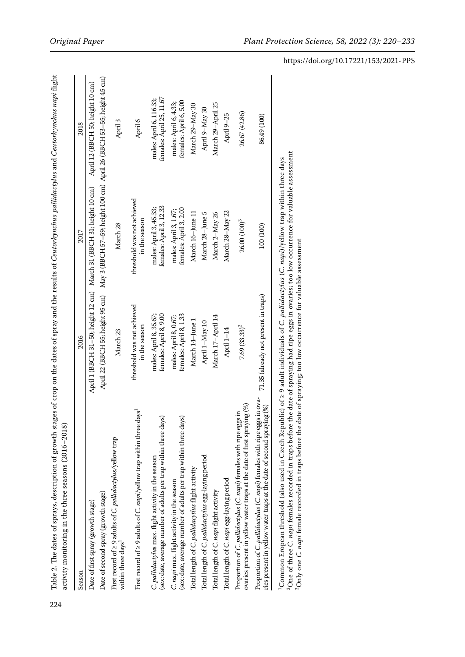| Season                                                                                                                                                     | 2016                                             | 2017                                                                                                        | 2018                                                |
|------------------------------------------------------------------------------------------------------------------------------------------------------------|--------------------------------------------------|-------------------------------------------------------------------------------------------------------------|-----------------------------------------------------|
| Date of first spray (growth stage)                                                                                                                         |                                                  | April 1 (BBCH 31-50; height 12 cm) March 31 (BBCH 31; height 10 cm)                                         | April 12 (BBCH 50; height 10 cm)                    |
| Date of second spray (growth stage)                                                                                                                        |                                                  | April 22 (BBCH 55; height 95 cm)     May 3 (BBCH 57–59; height 100 cm)  April 26 (BBCH 53–55; height 45 cm) |                                                     |
| First record of $\geq$ 9 adults of C. pallidactylus/yellow trap<br>within three days <sup>1</sup>                                                          | March 23                                         | March 28                                                                                                    | April 3                                             |
| First record of $\geq$ 9 adults of C. napi/yellow trap within three days <sup>1</sup>                                                                      | threshold was not achieved<br>in the season      | threshold was not achieved<br>in the season                                                                 | April 6                                             |
| (sex: date, average number of adults per trap within three days)<br>C. pallidactylus max. flight activity in the season                                    | females: April 8, 9.00<br>males: April 8, 35.67; | females: April 3, 12.33<br>males: April 3, 45.33;                                                           | females: April 25, 11.67<br>males: April 6, 116.33; |
| (sex: date, average number of adults per trap within three days)<br>C. napi max. flight activity in the season                                             | females: April 8, 1.33<br>males: April 8, 0.67;  | females: April 3, 2.00<br>males: April 3, 1.67;                                                             | females: April 6, 5.00<br>males: April 6, 4.33;     |
| Total length of C. pallidacytlus flight activity                                                                                                           | March 14-June 1                                  | March 16-June 11                                                                                            | March 29-May 30                                     |
| Total length of C. pallidactylus egg-laying period                                                                                                         | April 1-May 10                                   | March 28-June 5                                                                                             | April 9-May 30                                      |
| Total length of C. napi flight activity                                                                                                                    | March 17-April 14                                | March 2-May 26                                                                                              | March 29-April 25                                   |
| Total length of C. napi egg-laying period                                                                                                                  | April 1-14                                       | March 28-May 22                                                                                             | April 9-25                                          |
| ovaries present in yellow water traps at the date of first spraying (%)<br>Proportion of C. pallidactylus (C. napi) females with ripe eggs in              | $7.69(33.33)^2$                                  | 26.00 $(100)^3$                                                                                             | 26.67 (42.86)                                       |
| Proportion of C. pallidactylus (C. napi) females with ripe eggs in ova-<br>ries present in yellow water traps at the date of second spraying (%)           | 71.35 (already not present in traps)             | 100 (100)                                                                                                   | 86.49 (100)                                         |
| Common Eronean threshold (also used in Czech Republic) of > 9 adult individuals of C, <i>nallidactylus</i> (C, <i>napil)</i> vellow trap within three days |                                                  |                                                                                                             |                                                     |

Table 2. The dates of sprays, description of growth stages of crop on the dates of spray and the results of *Ceutorhynchus pallidactylus* and *Ceutorhynchus mapi* flight Table 2. The dates of sprays, description of growth stages of crop on the dates of spray and the results of *Ceutorhynchus pallidactylus* and *Ceutorhynchus napi* flight  $(0.016, 0.016)$ activity monitoring in the three seasons (2016–2018)  $\mathbf{r}$ É  $\ddot{a}$ Ŕ  $\arctiv$ 

224

"Common Eropean threshold (also used in Czech Kepublic) of 2 9 adult individuals of C. *pallidactylus* (C. *napi* )/yellow trap within three days<br><sup>2</sup>One of three *C. napi f*emales recorded in traps before the date of spray 2One of three *C. napi* females recorded in traps before the date of spraying had ripe eggs in ovaries; too low occurrence for valuable assessment 1Common Eropean threshold (also used in Czech Republic) of ≥ 9 adult individuals of *C. pallidactylus* (*C. napi*)/yellow trap within three days 3Only one *C. napi* female recorded in traps before the date of spraying; too low occurrence for valuable assessment

 $\mathbf{I}$  $\overline{1}$  ï

https://doi.org/10.17221/153/2021-PPS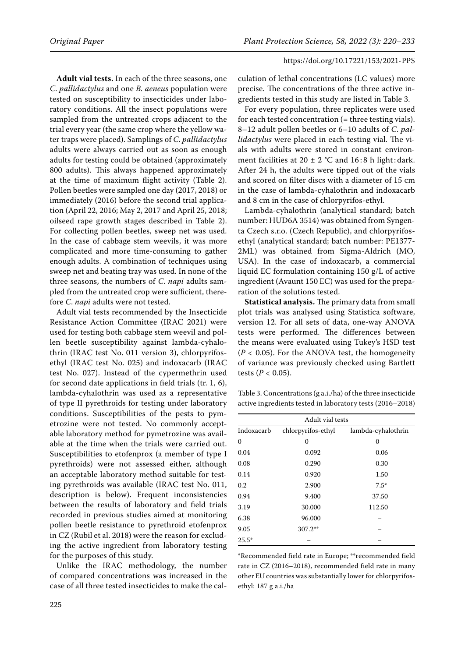**Adult vial tests.** In each of the three seasons, one *C*. *pallidactylus* and one *B. aeneus* population were tested on susceptibility to insecticides under laboratory conditions. All the insect populations were sampled from the untreated crops adjacent to the trial every year (the same crop where the yellow water traps were placed). Samplings of *C*. *pallidactylus* adults were always carried out as soon as enough adults for testing could be obtained (approximately 800 adults). This always happened approximately at the time of maximum flight activity (Table 2). Pollen beetles were sampled one day (2017, 2018) or immediately (2016) before the second trial application (April 22, 2016; May 2, 2017 and April 25, 2018; oilseed rape growth stages described in Table 2). For collecting pollen beetles, sweep net was used. In the case of cabbage stem weevils, it was more complicated and more time-consuming to gather enough adults. A combination of techniques using sweep net and beating tray was used. In none of the three seasons, the numbers of *C*. *napi* adults sampled from the untreated crop were sufficient, therefore *C*. *napi* adults were not tested.

Adult vial tests recommended by the Insecticide Resistance Action Committee (IRAC 2021) were used for testing both cabbage stem weevil and pollen beetle susceptibility against lambda-cyhalothrin (IRAC test No. 011 version 3), chlorpyrifosethyl (IRAC test No. 025) and indoxacarb (IRAC test No. 027). Instead of the cypermethrin used for second date applications in field trials (tr. 1, 6), lambda-cyhalothrin was used as a representative of type II pyrethroids for testing under laboratory conditions. Susceptibilities of the pests to pymetrozine were not tested. No commonly acceptable laboratory method for pymetrozine was available at the time when the trials were carried out. Susceptibilities to etofenprox (a member of type I pyrethroids) were not assessed either, although an acceptable laboratory method suitable for testing pyrethroids was available (IRAC test No. 011, description is below). Frequent inconsistencies between the results of laboratory and field trials recorded in previous studies aimed at monitoring pollen beetle resistance to pyrethroid etofenprox in CZ (Rubil et al. 2018) were the reason for excluding the active ingredient from laboratory testing for the purposes of this study.

Unlike the IRAC methodology, the number of compared concentrations was increased in the case of all three tested insecticides to make the cal-

culation of lethal concentrations (LC values) more precise. The concentrations of the three active ingredients tested in this study are listed in Table 3.

For every population, three replicates were used for each tested concentration (= three testing vials). 8–12 adult pollen beetles or 6–10 adults of *C*. *pallidactylus* were placed in each testing vial. The vials with adults were stored in constant environment facilities at  $20 \pm 2$  °C and 16:8 h light: dark. After 24 h, the adults were tipped out of the vials and scored on filter discs with a diameter of 15 cm in the case of lambda-cyhalothrin and indoxacarb and 8 cm in the case of chlorpyrifos-ethyl.

Lambda-cyhalothrin (analytical standard; batch number: HUD6A 3514) was obtained from Syngenta Czech s.r.o. (Czech Republic), and chlorpyrifosethyl (analytical standard; batch number: PE1377- 2ML) was obtained from Sigma-Aldrich (MO, USA). In the case of indoxacarb, a commercial liquid EC formulation containing 150 g/L of active ingredient (Avaunt 150 EC) was used for the preparation of the solutions tested.

**Statistical analysis.** The primary data from small plot trials was analysed using Statistica software, version 12. For all sets of data, one-way ANOVA tests were performed. The differences between the means were evaluated using Tukey's HSD test (*P <* 0.05). For the ANOVA test, the homogeneity of variance was previously checked using Bartlett tests (*P <* 0.05).

Table 3. Concentrations (g a.i./ha) of the three insecticide active ingredients tested in laboratory tests (2016–2018)

|            | Adult vial tests   |                    |
|------------|--------------------|--------------------|
| Indoxacarb | chlorpyrifos-ethyl | lambda-cyhalothrin |
| 0          | 0                  | 0                  |
| 0.04       | 0.092              | 0.06               |
| 0.08       | 0.290              | 0.30               |
| 0.14       | 0.920              | 1.50               |
| 0.2        | 2.900              | $7.5*$             |
| 0.94       | 9.400              | 37.50              |
| 3.19       | 30.000             | 112.50             |
| 6.38       | 96.000             |                    |
| 9.05       | $307.2**$          |                    |
| $25.5*$    |                    |                    |

\*Recommended field rate in Europe; \*\*recommended field rate in CZ (2016–2018), recommended field rate in many other EU countries was substantially lower for chlorpyrifosethyl: 187 g a.i./ha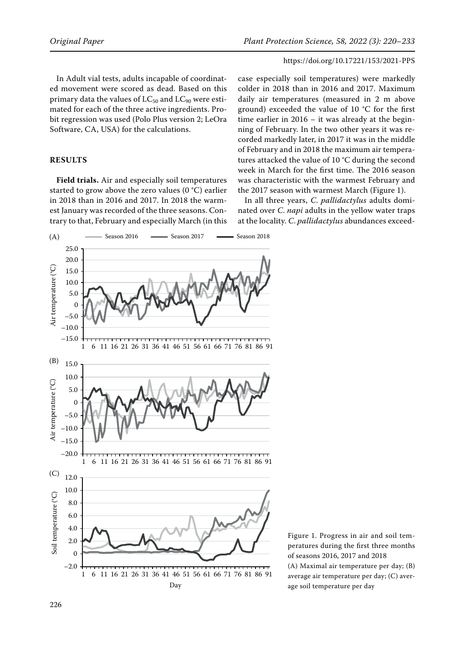In Adult vial tests, adults incapable of coordinated movement were scored as dead. Based on this primary data the values of  $LC_{50}$  and  $LC_{90}$  were estimated for each of the three active ingredients. Probit regression was used (Polo Plus version 2; LeOra Software, CA, USA) for the calculations.

## **Results**

**Field trials.** Air and especially soil temperatures started to grow above the zero values (0 °C) earlier in 2018 than in 2016 and 2017. In 2018 the warmest January was recorded of the three seasons. Contrary to that, February and especially March (in this

case especially soil temperatures) were markedly colder in 2018 than in 2016 and 2017. Maximum daily air temperatures (measured in 2 m above ground) exceeded the value of 10 °C for the first time earlier in 2016 – it was already at the beginning of February. In the two other years it was recorded markedly later, in 2017 it was in the middle of February and in 2018 the maximum air temperatures attacked the value of 10 °C during the second week in March for the first time. The 2016 season was characteristic with the warmest February and the 2017 season with warmest March (Figure 1).

In all three years, *C*. *pallidactylus* adults dominated over *C*. *napi* adults in the yellow water traps at the locality. *C*. *pallidactylus* abundances exceed-



Figure 1. Progress in air and soil temperatures during the first three months of seasons 2016, 2017 and 2018

(A) Maximal air temperature per day; (B) average air temperature per day; (C) average soil temperature per day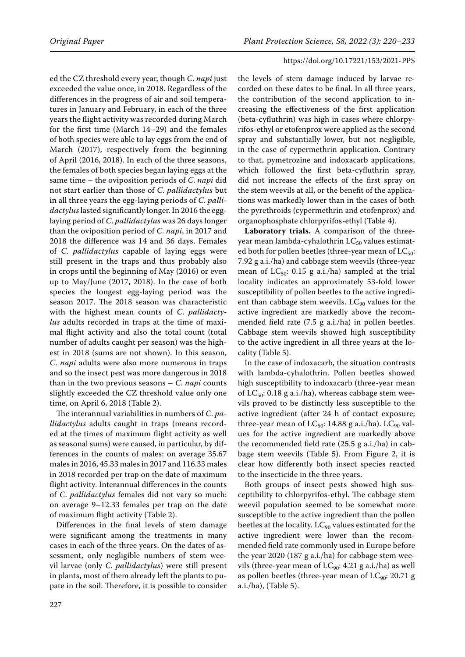ed the CZ threshold every year, though *C*. *napi* just exceeded the value once, in 2018. Regardless of the differences in the progress of air and soil temperatures in January and February, in each of the three years the flight activity was recorded during March for the first time (March 14–29) and the females of both species were able to lay eggs from the end of March (2017), respectively from the beginning of April (2016, 2018). In each of the three seasons, the females of both species began laying eggs at the same time – the oviposition periods of *C*. *napi* did not start earlier than those of *C*. *pallidactylus* but in all three years the egg-laying periods of *C*. *pallidactylus* lasted significantly longer. In 2016 the egglaying period of *C*. *pallidactylus* was 26 days longer than the oviposition period of *C*. *napi*, in 2017 and 2018 the difference was 14 and 36 days. Females of *C*. *pallidactylus* capable of laying eggs were still present in the traps and thus probably also in crops until the beginning of May (2016) or even up to May/June (2017, 2018). In the case of both species the longest egg-laying period was the season 2017. The 2018 season was characteristic with the highest mean counts of *C*. *pallidactylus* adults recorded in traps at the time of maximal flight activity and also the total count (total number of adults caught per season) was the highest in 2018 (sums are not shown). In this season, *C*. *napi* adults were also more numerous in traps and so the insect pest was more dangerous in 2018 than in the two previous seasons – *C*. *napi* counts slightly exceeded the CZ threshold value only one time, on April 6, 2018 (Table 2).

The interannual variabilities in numbers of *C*. *pallidactylus* adults caught in traps (means recorded at the times of maximum flight activity as well as seasonal sums) were caused, in particular, by differences in the counts of males: on average 35.67 males in 2016, 45.33 males in 2017 and 116.33 males in 2018 recorded per trap on the date of maximum flight activity. Interannual differences in the counts of *C*. *pallidactylus* females did not vary so much: on average 9–12.33 females per trap on the date of maximum flight activity (Table 2).

Differences in the final levels of stem damage were significant among the treatments in many cases in each of the three years. On the dates of assessment, only negligible numbers of stem weevil larvae (only *C*. *pallidactylus*) were still present in plants, most of them already left the plants to pupate in the soil. Therefore, it is possible to consider

the levels of stem damage induced by larvae recorded on these dates to be final. In all three years, the contribution of the second application to increasing the effectiveness of the first application (beta-cyfluthrin) was high in cases where chlorpyrifos-ethyl or etofenprox were applied as the second spray and substantially lower, but not negligible, in the case of cypermethrin application. Contrary to that, pymetrozine and indoxacarb applications, which followed the first beta-cyfluthrin spray, did not increase the effects of the first spray on the stem weevils at all, or the benefit of the applications was markedly lower than in the cases of both the pyrethroids (cypermethrin and etofenprox) and organophosphate chlorpyrifos-ethyl (Table 4).

**Laboratory trials.** A comparison of the threeyear mean lambda-cyhalothrin  $LC_{50}$  values estimated both for pollen beetles (three-year mean of  $LC_{50}$ : 7.92 g a.i./ha) and cabbage stem weevils (three-year mean of  $LC_{50}$ : 0.15 g a.i./ha) sampled at the trial locality indicates an approximately 53-fold lower susceptibility of pollen beetles to the active ingredient than cabbage stem weevils.  $LC_{90}$  values for the active ingredient are markedly above the recommended field rate (7.5 g a.i./ha) in pollen beetles. Cabbage stem weevils showed high susceptibility to the active ingredient in all three years at the locality (Table 5).

In the case of indoxacarb, the situation contrasts with lambda-cyhalothrin. Pollen beetles showed high susceptibility to indoxacarb (three-year mean of  $LC_{50}$ : 0.18 g a.i./ha), whereas cabbage stem weevils proved to be distinctly less susceptible to the active ingredient (after 24 h of contact exposure; three-year mean of  $LC_{50}$ : 14.88 g a.i./ha).  $LC_{90}$  values for the active ingredient are markedly above the recommended field rate (25.5 g a.i./ha) in cabbage stem weevils (Table 5). From Figure 2, it is clear how differently both insect species reacted to the insecticide in the three years.

Both groups of insect pests showed high susceptibility to chlorpyrifos-ethyl. The cabbage stem weevil population seemed to be somewhat more susceptible to the active ingredient than the pollen beetles at the locality.  $LC_{90}$  values estimated for the active ingredient were lower than the recommended field rate commonly used in Europe before the year 2020 (187 g a.i./ha) for cabbage stem weevils (three-year mean of  $LC_{90}$ : 4.21 g a.i./ha) as well as pollen beetles (three-year mean of  $LC_{90}$ : 20.71 g a.i./ha), (Table 5).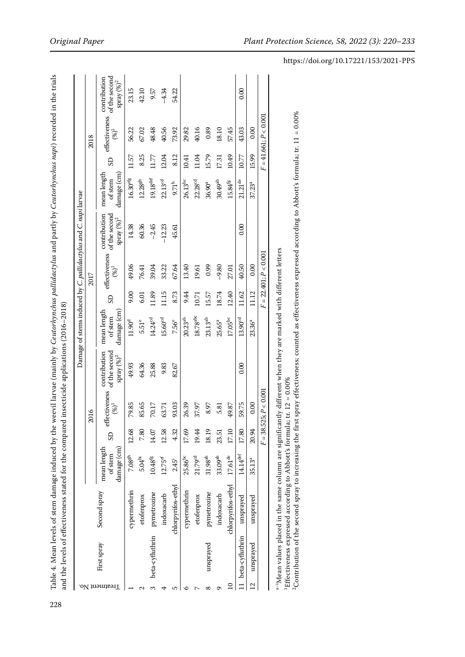|                 |                    |                    |                                       |       |                          |                                                         |                                       |           |                           | Damage of stems induced by C. pallidactylus and C. napi larvae |                                       |       |                                        |                                                        |
|-----------------|--------------------|--------------------|---------------------------------------|-------|--------------------------|---------------------------------------------------------|---------------------------------------|-----------|---------------------------|----------------------------------------------------------------|---------------------------------------|-------|----------------------------------------|--------------------------------------------------------|
|                 |                    |                    |                                       |       | 2016                     |                                                         |                                       |           | 2017                      |                                                                |                                       |       | 2018                                   |                                                        |
| Treatment No.   | First spray        | Second spray       | damage (cm)<br>mean length<br>of stem | GS    | effectiveness<br>$(%)^1$ | of the second<br>contribution<br>$\mbox{spray}\:(\%)^2$ | damage (cm)<br>mean length<br>of stem | <b>GS</b> | effectiveness<br>$(96)^1$ | of the second<br>contribution<br>${\rm spray}\,(\%)^2$         | damage (cm)<br>mean length<br>of stem | SD    | effectiveness<br>$\left( \% \right)^1$ | of the second<br>contribution<br>${\rm spray}\,(\%)^2$ |
|                 |                    | cypermethrin       | 7.08 <sup>gh</sup>                    | 12.68 | 79.85                    | 49.93                                                   | 11.90 <sup>d</sup>                    | 9.00      | 49.06                     | 14.38                                                          | $16.30^{\rm efg}$                     | 11.57 | 56.22                                  | 23.15                                                  |
|                 |                    | etofenprox         | $5.04^{\rm hi}$                       | 7.80  | 85.65                    | 64.36                                                   | 5.51 <sup>e</sup>                     | 6.01      | 76.41                     | 60.36                                                          | $12.28^\mathrm{gh}$                   | 8.25  | 67.02                                  | 42.10                                                  |
| $\frac{1}{2}$   | beta-cyfluthrin    | pymetrozine        | $10.48^{\rm fg}$                      | 14.07 | 70.17                    | 25.88                                                   | 14.24 <sup>cd</sup>                   | 1.89      | 39.04                     | $-2.45$                                                        | $19.18^{\rm def}$                     | 11.77 | 48.48                                  | 9.57                                                   |
|                 |                    | indoxacarb         | $12.75$ ef                            | 12.58 | 63.71                    | 9.83                                                    | 15.60 <sup>cd</sup>                   | 11.15     | 33.22                     | $-12.23$                                                       | 22.13 <sup>cd</sup>                   | 12.04 | 40.56                                  | $-4.34$                                                |
| ഥ               |                    | chlorpyrifos-ethyl | $2.45^{i}$                            | 4.32  | 93.03                    | 82.67                                                   | 7.56°                                 | 8.73      | 67.64                     | 45.61                                                          | $9.71^h$                              | 8.12  | 73.92                                  | 54.22                                                  |
| ∘               |                    | cypermethrin       | 25.86 <sup>bc</sup>                   | 17.69 | 26.39                    |                                                         | $20.23^{ab}$                          | 9.44      | 13.40                     |                                                                | $26.13^{bc}$                          | 10.41 | 29.82                                  |                                                        |
|                 |                    | etofenprox         | 21.79 <sup>cd</sup>                   | 19.44 | 37.97                    |                                                         | 18.78 <sup>abc</sup>                  | 10.71     | 19.61                     |                                                                | 22.28 <sup>cd</sup>                   | 11.04 | 40.16                                  |                                                        |
| ∞               | unsprayed          | pymetrozine        | $31.98^{\rm ab}$                      | 18.19 | 8.97                     |                                                         | $23.13^{ab}$                          | 15.57     | 0.99                      |                                                                | 36.90 <sup>a</sup>                    | 15.79 | 0.89                                   |                                                        |
| σ               |                    | indoxacarb         | 33.09 <sup>ab</sup>                   | 23.51 | 5.81                     |                                                         | 25.65ª                                | 18.74     | $-9.80$                   |                                                                | 30.49 <sup>ab</sup>                   | 17.31 | 18.10                                  |                                                        |
| $\overline{10}$ |                    | chlorpyrifos-ethyl | $17.61^{\rm de}$                      | 17.10 | 49.87                    |                                                         | $17.05^{\rm bc}$                      | 12.40     | 27.01                     |                                                                | 15.84 <sup>fg</sup>                   | 10.49 | 57.45                                  |                                                        |
|                 | 11 beta-cyfluthrin | unsprayed          | $14.14^{\rm def}$                     | 17.80 | 59.75                    | 0.00                                                    | 13.90 <sup>cd</sup>                   | 11.62     | 40.50                     | 0.00                                                           | $21.21$ <sup>de</sup>                 | 10.77 | 43.03                                  | 0.00                                                   |
| $\overline{c}$  | unsprayed          | unsprayed          | 35.13 <sup>a</sup>                    | 20.94 | 0.00                     |                                                         | $23.36^{a}$                           | 11.12     | 0.00                      |                                                                | $37.23^{a}$                           | 15.99 | 0.00                                   |                                                        |
|                 |                    |                    |                                       |       | $F = 38.525; P < 0.001$  |                                                         |                                       |           | $F = 22.401; P < 0.001$   |                                                                |                                       |       | $F = 41.661; P < 0.001$                |                                                        |

a-'Mean values placed in the same column are significantly different when they are marked with different letters<br>'Effectiveness expressed according to Abbott's formula; tr. 12 = 0.00%<br><sup>2</sup>Contribution of the second spray to a–iMean values placed in the same column are significantly different when they are marked with different letters <sup>1</sup>Effectiveness expressed according to Abbott's formula; tr.  $12 = 0.00\%$ 

<sup>2</sup>Contribution of the second spray to increasing the first spray effectiveness; counted as effectiveness expressed according to Abbott's formula; tr. 11 = 0.00%

228

Table 4. Mean levels of stem damage induced by the weevil larvae (mainly by *Ceutorhynchus pallidactylus* and partly by *Ceutorhynchus napi*) recorded in the trials

Table 4. Mean levels of stem damage induced by the weevil larvae (mainly by Ceutorhynchus pallidactylus and partly by Ceutorhynchus napi) recorded in the trials

# https://doi.org/10.17221/153/2021-PPS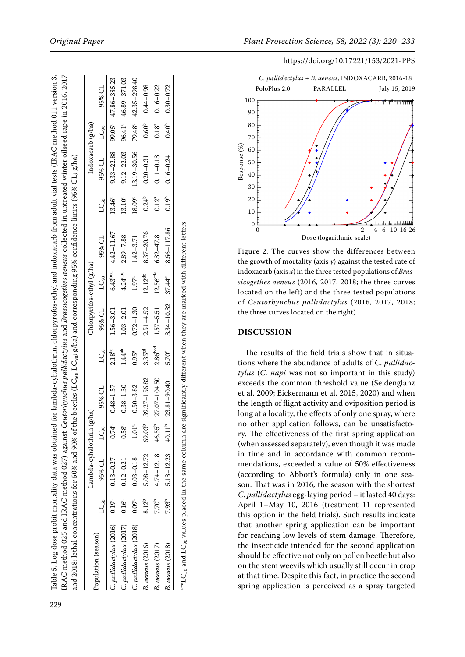| the beetles (LC <sub>50</sub> , LC <sub>90</sub> ; g/ha) and corresponding 95% confidence limits (95% CL; g/ha)                                               |
|---------------------------------------------------------------------------------------------------------------------------------------------------------------|
| and 2018: lethal concentrations for 50% and 90% of ti                                                                                                         |
| ladactylus and Brassicogethes aeneus collected in untreated winter oilseed rape in 2016, 2017<br>IRAC method 025 and IRAC method 027) against <i>Ceutorhy</i> |

|                         |                     | Lambda-cyhalothrin (g/ha) |                     |               |                     | Chlorpyrifos-ethyl (g/ha) |                       |                                       |                    | Indoxacarb (g/ha)   |                   |                                |
|-------------------------|---------------------|---------------------------|---------------------|---------------|---------------------|---------------------------|-----------------------|---------------------------------------|--------------------|---------------------|-------------------|--------------------------------|
| Population (season)     | متكل                | 95% CL                    | LC <sub>90</sub>    | 95% CL        | $LC_{50}$           |                           |                       | 95% CL LC <sub>90</sub> 95% CL        | LG <sub>50</sub>   | $95\%$ CL $LC_{90}$ |                   | 95% CL                         |
| C. pallidactylus (2016) | $0.19^{\mathrm{a}}$ | $0.13 - 0.27$             | $0.74^{\rm a}$      | $0.48 - 1.57$ | $2.18^{bc}$         | $1.56 - 3.01$             | $6.43$ <sub>bcd</sub> | $4.42 - 11.67$                        | 13.46 <sup>c</sup> |                     |                   | 9.33-22.88 99.05° 47.86-385.23 |
| C. pallidactylus (2017) | $0.16^\mathrm{a}$   | $0.12 - 0.21$             | $0.58^{\mathrm{a}}$ | $0.38 - 1.30$ | 1.44 <sup>ab</sup>  | $1.03 - 2.01$             | $4.24$ <sup>abc</sup> | $2.89 - 7.88$                         | 13.10 <sup>c</sup> | $9.12 - 22.03$      | 96.41°            | 46.89-371.03                   |
| C. pallidactylus (2018) | $0.09^\mathrm{a}$   | $0.03 - 0.18$             | 1.01 <sup>a</sup>   | $0.50 - 3.82$ | $0.95^{\circ}$      | $0.72 - 1.30$             | $1.97^{a}$            | $1.42 - 3.71$                         | 18.09 <sup>c</sup> | 13.19 - 30.56       |                   | 79.48° 42.35-298.40            |
| B. aeneus (2016)        | $8.12^{b}$          | $5.08 - 12.72$            | 69.03 <sup>b</sup>  | 39.27-156.82  | 3.35 <sup>cd</sup>  | $2.51 - 4.52$             | $12.12^{de}$          | 8.37 - 20.76                          | $0.24^{b}$         | $0.20 - 0.31$       | 0.60 <sup>b</sup> | $0.44 - 0.98$                  |
| <b>B.</b> aeneus (2017) | 7.70 <sup>b</sup>   | $4.74 - 12.18$            | 46.55 <sup>b</sup>  | 27.07-104.50  | 2.86 <sup>bcd</sup> | $1.57 - 5.51$             | 12.56 <sup>cde</sup>  | $6.32 - 47.81$                        | $0.12^a$           | $0.11 - 0.13$       | 0.18 <sup>a</sup> | $0.16 - 0.22$                  |
| B. aeneus (2018)        | $7.93^{b}$          | 5.13-12.23                | $40.11^{b}$         | 23.81-90.40   | 5.70 <sup>d</sup>   |                           |                       | $3.34 - 10.32$ $37.44^e$ 18.66-117.86 | 0.19 <sup>b</sup>  | $0.16 - 0.24$       | $0.40^{b}$        | $0.30 - 0.72$                  |

with different letters a–eLC<sub>50</sub> and LC<sub>90</sub> values placed in the same column are significantly different when they are marked with different letters different when they are marked are significantly column same placed in the  $LC_{50}$  and  $LC_{90}$  values

## https://doi.org/10.17221/153/2021-PPS



Figure 2. The curves show the differences between the growth of mortality (axis *y*) against the tested rate of indoxacarb (axis *x*) in the three tested populations of *Bras sicogethes aeneus* (2016, 2017, 2018; the three curves located on the left) and the three tested populations of *Ceutorhynchus pallidactylus* (2016, 2017, 2018; the three curves located on the right)

#### **Dis cussion**

The results of the field trials show that in situa tions where the abundance of adults of *C*. *pallidac tylus* ( *C*. *napi* was not so important in this study) exceeds the common threshold value (Seidenglanz et al. 2009; Eickermann et al. 2015, 2020) and when the length of flight activity and oviposition period is long at a locality, the effects of only one spray, where no other application follows, can be unsatisfacto ry. The effectiveness of the first spring application (when assessed separately), even though it was made in time and in accordance with common recom mendations, exceeded a value of 50% effectiveness (according to Abbott's formula) only in one sea son. That was in 2016, the season with the shortest *C*. *pallidactylus* egg-laying period – it lasted 40 days: April 1–May 10, 2016 (treatment 11 represented this option in the field trials). Such results indicate that another spring application can be important for reaching low levels of stem damage. Therefore, the insecticide intended for the second application should be effective not only on pollen beetle but also on the stem weevils which usually still occur in crop at that time. Despite this fact, in practice the second spring application is perceived as a spray targeted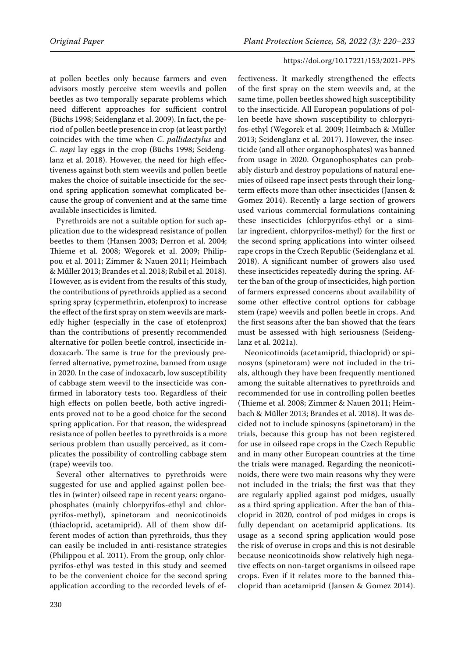at pollen beetles only because farmers and even advisors mostly perceive stem weevils and pollen beetles as two temporally separate problems which need different approaches for sufficient control (Büchs 1998; Seidenglanz et al. 2009). In fact, the period of pollen beetle presence in crop (at least partly) coincides with the time when *C*. *pallidactylus* and *C*. *napi* lay eggs in the crop (Büchs 1998; Seidenglanz et al. 2018). However, the need for high effectiveness against both stem weevils and pollen beetle makes the choice of suitable insecticide for the second spring application somewhat complicated because the group of convenient and at the same time available insecticides is limited.

Pyrethroids are not a suitable option for such application due to the widespread resistance of pollen beetles to them (Hansen 2003; Derron et al. 2004; Thieme et al. 2008; Wegorek et al. 2009; Philippou et al. 2011; Zimmer & Nauen 2011; Heimbach & Műller 2013; Brandes et al. 2018; Rubil et al. 2018). However, as is evident from the results of this study, the contributions of pyrethroids applied as a second spring spray (cypermethrin, etofenprox) to increase the effect of the first spray on stem weevils are markedly higher (especially in the case of etofenprox) than the contributions of presently recommended alternative for pollen beetle control, insecticide indoxacarb. The same is true for the previously preferred alternative, pymetrozine, banned from usage in 2020. In the case of indoxacarb, low susceptibility of cabbage stem weevil to the insecticide was confirmed in laboratory tests too. Regardless of their high effects on pollen beetle, both active ingredients proved not to be a good choice for the second spring application. For that reason, the widespread resistance of pollen beetles to pyrethroids is a more serious problem than usually perceived, as it complicates the possibility of controlling cabbage stem (rape) weevils too.

Several other alternatives to pyrethroids were suggested for use and applied against pollen beetles in (winter) oilseed rape in recent years: organophosphates (mainly chlorpyrifos-ethyl and chlorpyrifos-methyl), spinetoram and neonicotinoids (thiacloprid, acetamiprid). All of them show different modes of action than pyrethroids, thus they can easily be included in anti-resistance strategies (Philippou et al. 2011). From the group, only chlorpyrifos-ethyl was tested in this study and seemed to be the convenient choice for the second spring application according to the recorded levels of ef-

fectiveness. It markedly strengthened the effects of the first spray on the stem weevils and, at the same time, pollen beetles showed high susceptibility to the insecticide. All European populations of pollen beetle have shown susceptibility to chlorpyrifos-ethyl (Wegorek et al. 2009; Heimbach & Müller 2013; Seidenglanz et al. 2017). However, the insecticide (and all other organophosphates) was banned from usage in 2020. Organophosphates can probably disturb and destroy populations of natural enemies of oilseed rape insect pests through their longterm effects more than other insecticides (Jansen & Gomez 2014). Recently a large section of growers used various commercial formulations containing these insecticides (chlorpyrifos-ethyl or a similar ingredient, chlorpyrifos-methyl) for the first or the second spring applications into winter oilseed rape crops in the Czech Republic (Seidenglanz et al. 2018). A significant number of growers also used these insecticides repeatedly during the spring. After the ban of the group of insecticides, high portion of farmers expressed concerns about availability of some other effective control options for cabbage stem (rape) weevils and pollen beetle in crops. And the first seasons after the ban showed that the fears must be assessed with high seriousness (Seidenglanz et al. 2021a).

Neonicotinoids (acetamiprid, thiacloprid) or spinosyns (spinetoram) were not included in the trials, although they have been frequently mentioned among the suitable alternatives to pyrethroids and recommended for use in controlling pollen beetles (Thieme et al. 2008; Zimmer & Nauen 2011; Heimbach & Müller 2013; Brandes et al. 2018). It was decided not to include spinosyns (spinetoram) in the trials, because this group has not been registered for use in oilseed rape crops in the Czech Republic and in many other European countries at the time the trials were managed. Regarding the neonicotinoids, there were two main reasons why they were not included in the trials; the first was that they are regularly applied against pod midges, usually as a third spring application. After the ban of thiacloprid in 2020, control of pod midges in crops is fully dependant on acetamiprid applications. Its usage as a second spring application would pose the risk of overuse in crops and this is not desirable because neonicotinoids show relatively high negative effects on non-target organisms in oilseed rape crops. Even if it relates more to the banned thiacloprid than acetamiprid (Jansen & Gomez 2014).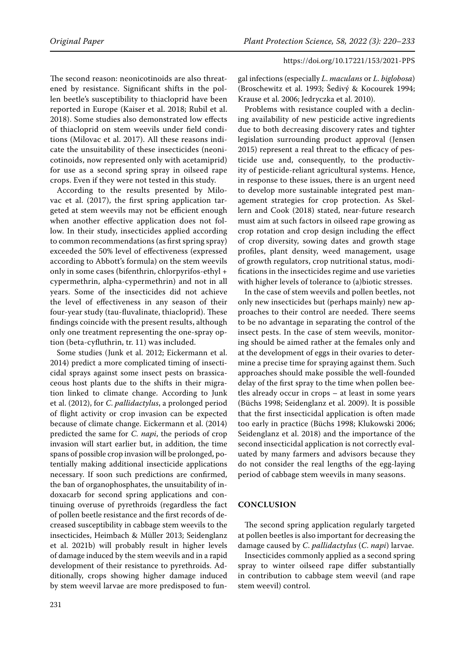The second reason: neonicotinoids are also threatened by resistance. Significant shifts in the pollen beetle's susceptibility to thiacloprid have been reported in Europe (Kaiser et al. 2018; Rubil et al. 2018). Some studies also demonstrated low effects of thiacloprid on stem weevils under field conditions (Milovac et al. 2017). All these reasons indicate the unsuitability of these insecticides (neonicotinoids, now represented only with acetamiprid) for use as a second spring spray in oilseed rape crops. Even if they were not tested in this study.

According to the results presented by Milovac et al. (2017), the first spring application targeted at stem weevils may not be efficient enough when another effective application does not follow. In their study, insecticides applied according to common recommendations (as first spring spray) exceeded the 50% level of effectiveness (expressed according to Abbott's formula) on the stem weevils only in some cases (bifenthrin, chlorpyrifos-ethyl + cypermethrin, alpha-cypermethrin) and not in all years. Some of the insecticides did not achieve the level of effectiveness in any season of their four-year study (tau-fluvalinate, thiacloprid). These findings coincide with the present results, although only one treatment representing the one-spray option (beta-cyfluthrin, tr. 11) was included.

Some studies (Junk et al. 2012; Eickermann et al. 2014) predict a more complicated timing of insecticidal sprays against some insect pests on brassicaceous host plants due to the shifts in their migration linked to climate change. According to Junk et al. (2012), for *C*. *pallidactylus*, a prolonged period of flight activity or crop invasion can be expected because of climate change. Eickermann et al. (2014) predicted the same for *C. napi*, the periods of crop invasion will start earlier but, in addition, the time spans of possible crop invasion will be prolonged, potentially making additional insecticide applications necessary. If soon such predictions are confirmed, the ban of organophosphates, the unsuitability of indoxacarb for second spring applications and continuing overuse of pyrethroids (regardless the fact of pollen beetle resistance and the first records of decreased susceptibility in cabbage stem weevils to the insecticides, Heimbach & Müller 2013; Seidenglanz et al. 2021b) will probably result in higher levels of damage induced by the stem weevils and in a rapid development of their resistance to pyrethroids. Additionally, crops showing higher damage induced by stem weevil larvae are more predisposed to fungal infections (especially *L*. *maculans* or *L*. *biglobosa*) (Broschewitz et al. 1993; Šedivý & Kocourek 1994; Krause et al. 2006; Jedryczka et al. 2010).

Problems with resistance coupled with a declining availability of new pesticide active ingredients due to both decreasing discovery rates and tighter legislation surrounding product approval (Jensen 2015) represent a real threat to the efficacy of pesticide use and, consequently, to the productivity of pesticide-reliant agricultural systems. Hence, in response to these issues, there is an urgent need to develop more sustainable integrated pest management strategies for crop protection. As Skellern and Cook (2018) stated, near-future research must aim at such factors in oilseed rape growing as crop rotation and crop design including the effect of crop diversity, sowing dates and growth stage profiles, plant density, weed management, usage of growth regulators, crop nutritional status, modifications in the insecticides regime and use varieties with higher levels of tolerance to (a)biotic stresses.

In the case of stem weevils and pollen beetles, not only new insecticides but (perhaps mainly) new approaches to their control are needed. There seems to be no advantage in separating the control of the insect pests. In the case of stem weevils, monitoring should be aimed rather at the females only and at the development of eggs in their ovaries to determine a precise time for spraying against them. Such approaches should make possible the well-founded delay of the first spray to the time when pollen beetles already occur in crops – at least in some years (Büchs 1998; Seidenglanz et al. 2009). It is possible that the first insecticidal application is often made too early in practice (Büchs 1998; Klukowski 2006; Seidenglanz et al. 2018) and the importance of the second insecticidal application is not correctly evaluated by many farmers and advisors because they do not consider the real lengths of the egg-laying period of cabbage stem weevils in many seasons.

## **Conclusion**

The second spring application regularly targeted at pollen beetles is also important for decreasing the damage caused by *C*. *pallidactylus* (*C*. *napi*) larvae.

Insecticides commonly applied as a second spring spray to winter oilseed rape differ substantially in contribution to cabbage stem weevil (and rape stem weevil) control.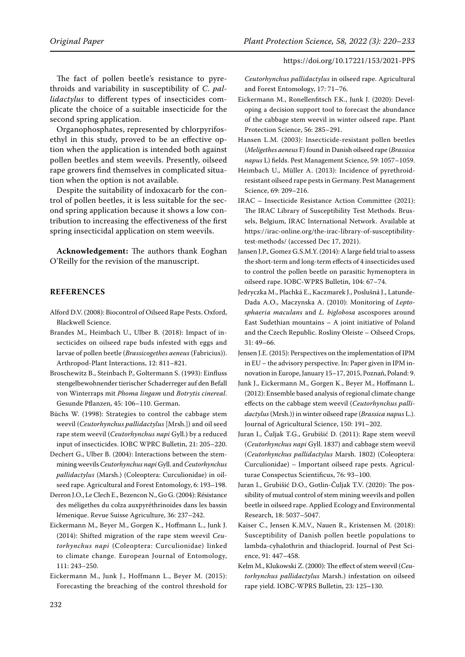The fact of pollen beetle's resistance to pyrethroids and variability in susceptibility of *C*. *pallidactylus* to different types of insecticides complicate the choice of a suitable insecticide for the second spring application.

Organophosphates, represented by chlorpyrifosethyl in this study, proved to be an effective option when the application is intended both against pollen beetles and stem weevils. Presently, oilseed rape growers find themselves in complicated situation when the option is not available.

Despite the suitability of indoxacarb for the control of pollen beetles, it is less suitable for the second spring application because it shows a low contribution to increasing the effectiveness of the first spring insecticidal application on stem weevils.

**Acknowledgement:** The authors thank Eoghan O'Reilly for the revision of the manuscript.

## **References**

- Alford D.V. (2008): Biocontrol of Oilseed Rape Pests. Oxford, Blackwell Science.
- Brandes M., Heimbach U., Ulber B. (2018): Impact of insecticides on oilseed rape buds infested with eggs and larvae of pollen beetle (*Brassicogethes aeneus* (Fabricius)). Arthropod-Plant Interactions, 12: 811–821.
- Broschewitz B., Steinbach P., Goltermann S. (1993): Einfluss stengelbewohnender tierischer Schaderreger auf den Befall von Winterraps mit *Phoma lingam* und *Botrytis cinereal*. Gesunde Pflanzen, 45: 106–110. German.
- Büchs W. (1998): Strategies to control the cabbage stem weevil (*Ceutorhynchus pallidactylus* [Mrsh.]) and oil seed rape stem weevil (*Ceutorhynchus napi* Gyll.) by a reduced input of insecticides. IOBC WPRC Bulletin, 21: 205–220.
- Dechert G., Ulber B. (2004): Interactions between the stemmining weevils *Ceutorhynchus napi* Gyll. and *Ceutorhynchus pallidactylus* (Marsh.) (Coleoptera: Curculionidae) in oilseed rape. Agricultural and Forest Entomology, 6: 193–198.
- Derron J.O., Le Clech E., Bezencon N., Go G. (2004): Résistance des méligethes du colza auxpyréthrinoides dans les bassin lémenique. Revue Suisse Agriculture, 36: 237–242.
- Eickermann M., Beyer M., Gorgen K., Hoffmann L., Junk J. (2014): Shifted migration of the rape stem weevil *Ceutorhynchus napi* (Coleoptera: Curculionidae) linked to climate change. European Journal of Entomology, 111: 243–250.
- Eickermann M., Junk J., Hoffmann L., Beyer M. (2015): Forecasting the breaching of the control threshold for

*Ceutorhynchus pallidactylus* in oilseed rape. Agricultural and Forest Entomology, 17: 71–76.

- Eickermann M., Ronellenfitsch F.K., Junk J. (2020): Developing a decision support tool to forecast the abundance of the cabbage stem weevil in winter oilseed rape. Plant Protection Science, 56: 285–291.
- Hansen L.M. (2003): Insecticide-resistant pollen beetles (*Meligethes aeneus* F) found in Danish oilseed rape (*Brassica napus* L) fields. Pest Management Science, 59: 1057–1059.
- Heimbach U., Müller A. (2013): Incidence of pyrethroidresistant oilseed rape pests in Germany. Pest Management Science, 69: 209–216.
- IRAC Insecticide Resistance Action Committee (2021): The IRAC Library of Susceptibility Test Methods. Brussels, Belgium, IRAC International Network. Available at https://irac-online.org/the-irac-library-of-susceptibilitytest-methods/ (accessed Dec 17, 2021).
- Jansen J.P., Gomez G.S.M.Y. (2014): A large field trial to assess the short-term and long-term effects of 4 insecticides used to control the pollen beetle on parasitic hymenoptera in oilseed rape. IOBC-WPRS Bulletin, 104: 67–74.
- Jedryczka M., Plachká E., Kaczmarek J., Poslušná J., Latunde-Dada A.O., Maczynska A. (2010): Monitoring of *Leptosphaeria maculans* and *L. biglobosa* ascospores around East Sudethian mountains – A joint initiative of Poland and the Czech Republic. Rosliny Oleiste – Oilseed Crops, 31: 49–66.
- Jensen J.E. (2015): Perspectives on the implementation of IPM in EU – the advisory perspective. In: Paper given in IPM innovation in Europe, January 15–17, 2015, Poznań, Poland: 9.
- Junk J., Eickermann M., Gorgen K., Beyer M., Hoffmann L. (2012): Ensemble based analysis of regional climate change effects on the cabbage stem weevil (*Ceutorhynchus pallidactylus* (Mrsh.)) in winter oilseed rape (*Brassica napus* L.). Journal of Agricultural Science, 150: 191–202.
- Juran I., Čuljak T.G., Grubišić D. (2011): Rape stem weevil (*Ceutorhynchus napi* Gyll. 1837) and cabbage stem weevil (*Ceutorhynchus pallidactylus* Marsh. 1802) (Coleoptera: Curculionidae) – Important oilseed rape pests. Agriculturae Conspectus Scientificus, 76: 93–100.
- Juran I., Grubišić D.O., Gotlin-Čuljak T.V. (2020): The possibility of mutual control of stem mining weevils and pollen beetle in oilseed rape. Applied Ecology and Environmental Research, 18: 5037–5047.
- Kaiser C., Jensen K.M.V., Nauen R., Kristensen M. (2018): Susceptibility of Danish pollen beetle populations to lambda-cyhalothrin and thiacloprid. Journal of Pest Science, 91: 447–458.
- Kelm M., Klukowski Z. (2000): The effect of stem weevil (*Ceutorhynchus pallidactylus* Marsh.) infestation on oilseed rape yield. IOBC-WPRS Bulletin, 23: 125**–**130.